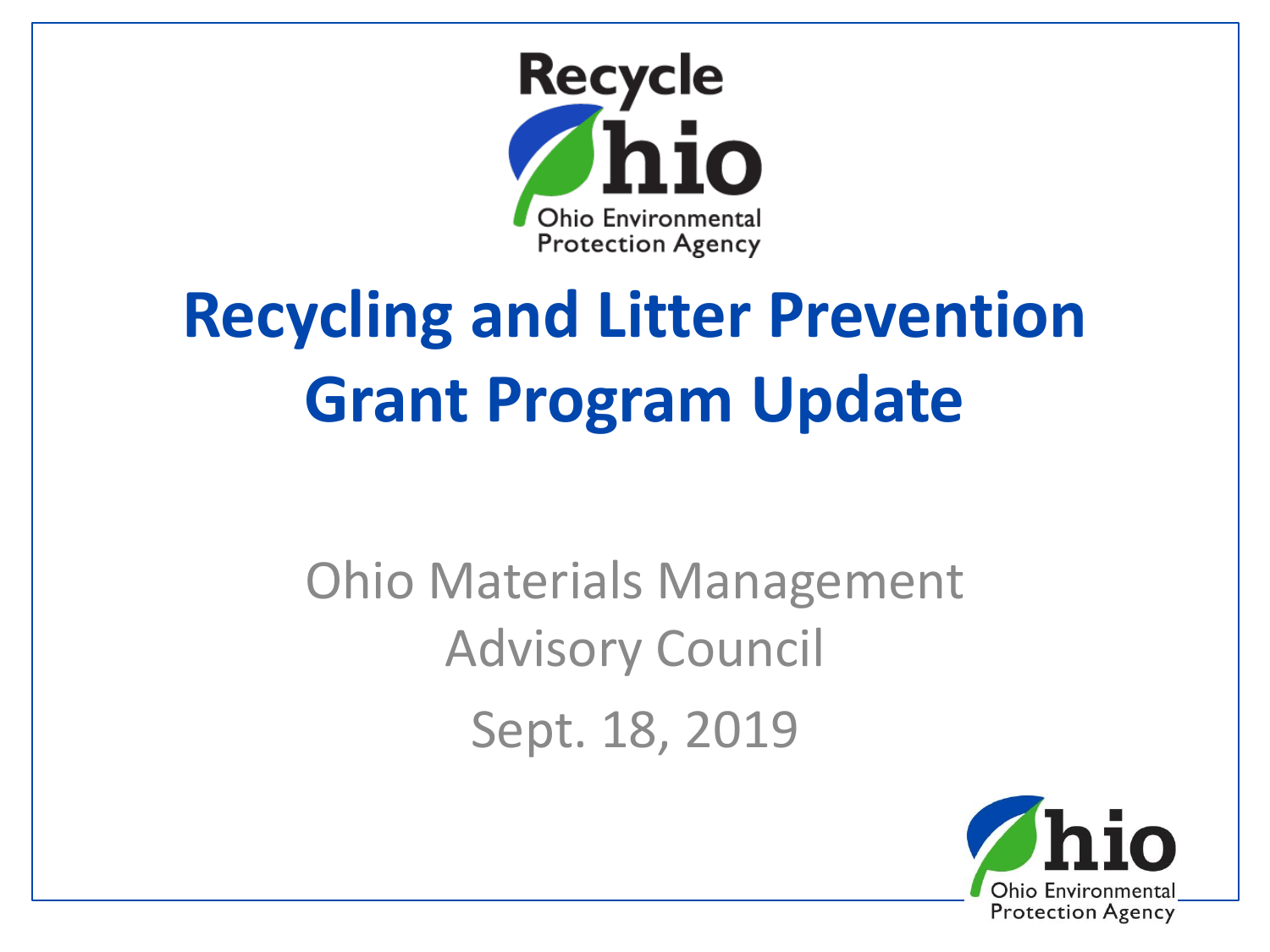

# **Recycling and Litter Prevention Grant Program Update**

Ohio Materials Management Advisory Council Sept. 18, 2019

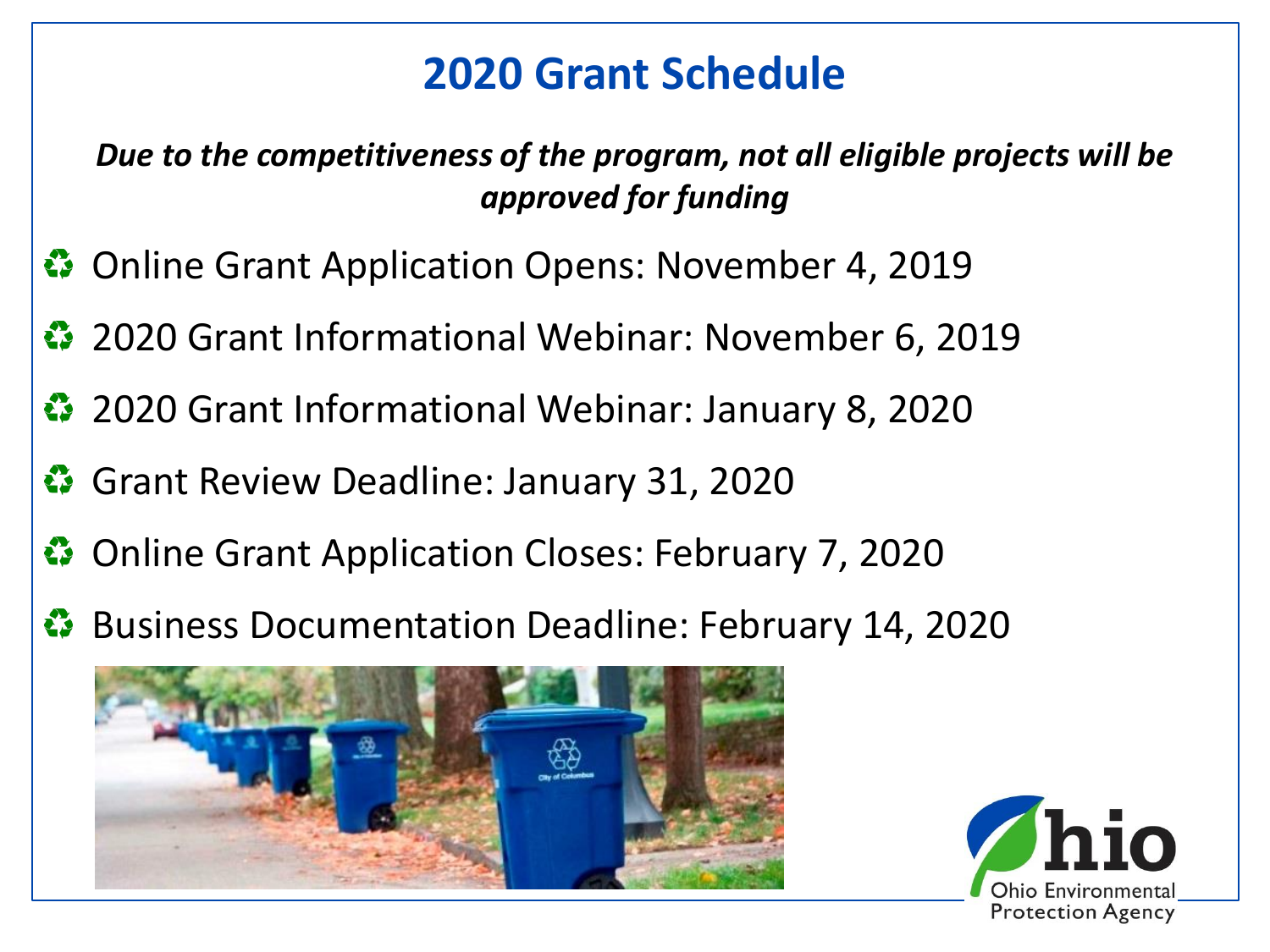# **2020 Grant Schedule**

*Due to the competitiveness of the program, not all eligible projects will be approved for funding*

- **<sup>●</sup>** Online Grant Application Opens: November 4, 2019
- 2020 Grant Informational Webinar: November 6, 2019
- 2020 Grant Informational Webinar: January 8, 2020
- Grant Review Deadline: January 31, 2020
- Online Grant Application Closes: February 7, 2020
- Business Documentation Deadline: February 14, 2020



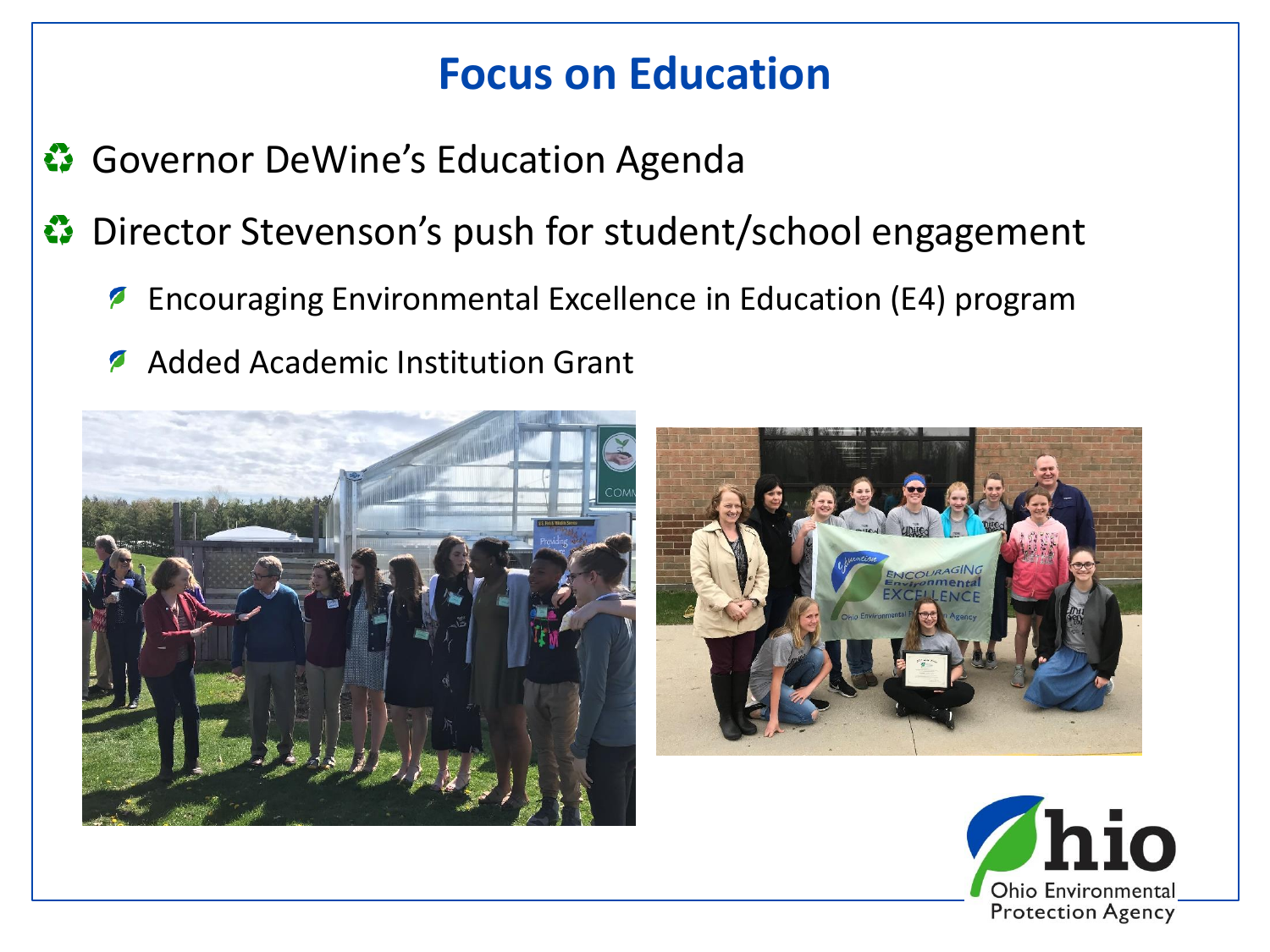#### **Focus on Education**

- Governor DeWine's Education Agenda
- **Director Stevenson's push for student/school engagement** 
	- Encouraging Environmental Excellence in Education (E4) program  $\boldsymbol{Z}$
	- Added Academic Institution Grant  $\sqrt{2}$





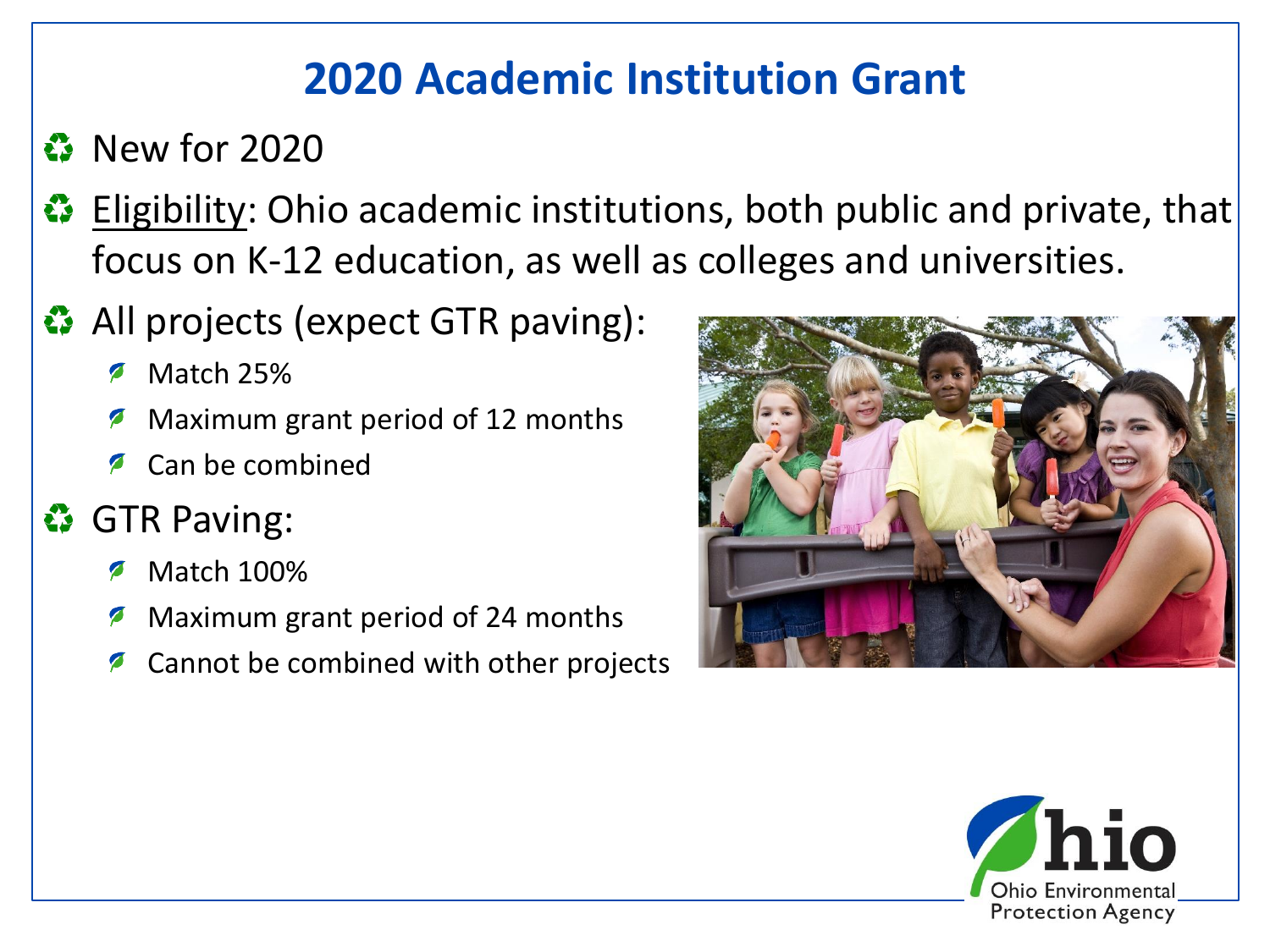## **2020 Academic Institution Grant**

#### **8** New for 2020

- **B** Eligibility: Ohio academic institutions, both public and private, that focus on K-12 education, as well as colleges and universities.
- ◆ All projects (expect GTR paving):
	- Match 25%
	- Maximum grant period of 12 months
	- Can be combined

## **<sup>•</sup>** GTR Paving:

- Match 100%
- Maximum grant period of 24 months
- Cannot be combined with other projects



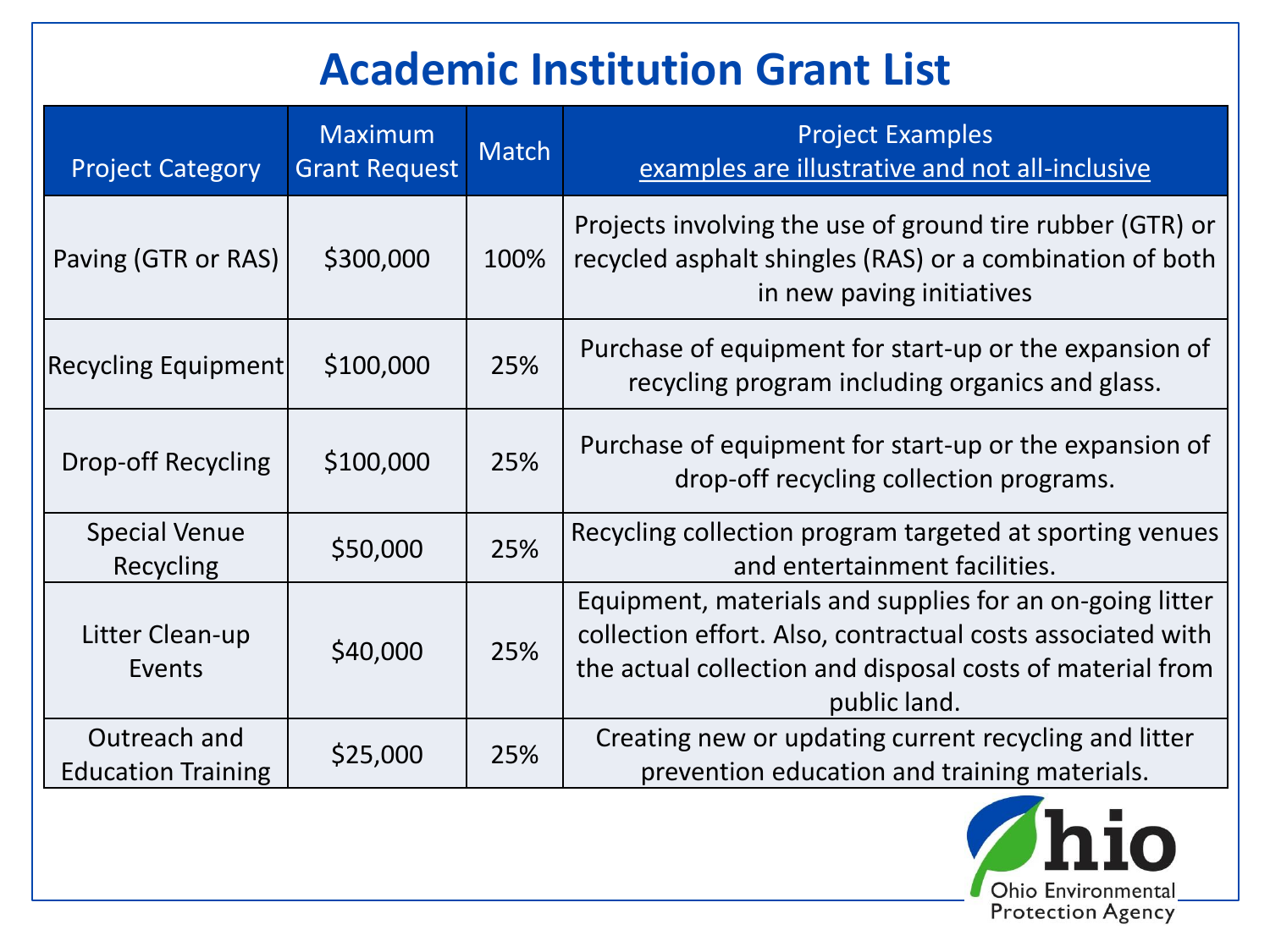# **Academic Institution Grant List**

| <b>Project Category</b>                   | Maximum<br><b>Grant Request</b> | <b>Match</b> | <b>Project Examples</b><br>examples are illustrative and not all-inclusive                                                                                                                          |
|-------------------------------------------|---------------------------------|--------------|-----------------------------------------------------------------------------------------------------------------------------------------------------------------------------------------------------|
| Paving (GTR or RAS)                       | \$300,000                       | 100%         | Projects involving the use of ground tire rubber (GTR) or<br>recycled asphalt shingles (RAS) or a combination of both<br>in new paving initiatives                                                  |
| <b>Recycling Equipment</b>                | \$100,000                       | 25%          | Purchase of equipment for start-up or the expansion of<br>recycling program including organics and glass.                                                                                           |
| Drop-off Recycling                        | \$100,000                       | 25%          | Purchase of equipment for start-up or the expansion of<br>drop-off recycling collection programs.                                                                                                   |
| <b>Special Venue</b><br>Recycling         | \$50,000                        | 25%          | Recycling collection program targeted at sporting venues<br>and entertainment facilities.                                                                                                           |
| Litter Clean-up<br>Events                 | \$40,000                        | 25%          | Equipment, materials and supplies for an on-going litter<br>collection effort. Also, contractual costs associated with<br>the actual collection and disposal costs of material from<br>public land. |
| Outreach and<br><b>Education Training</b> | \$25,000                        | 25%          | Creating new or updating current recycling and litter<br>prevention education and training materials.                                                                                               |

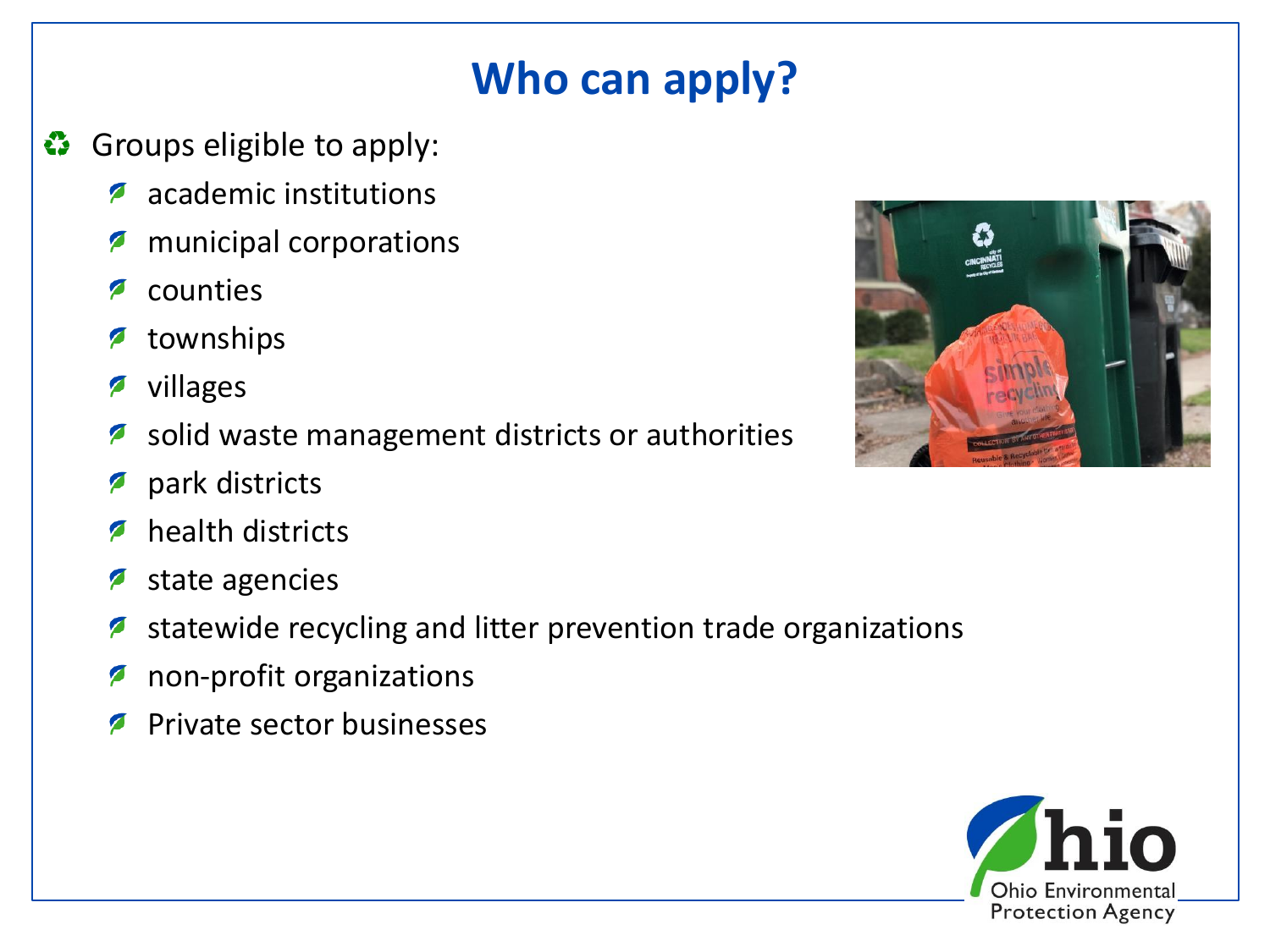# **Who can apply?**

- Groups eligible to apply: E3
	- academic institutions  $\mathcal{L}$
	- Ø municipal corporations
	- counties  $\blacktriangleright$
	- townships P
	- villages P
	- solid waste management districts or authorities P
	- park districts P
	- health districts  $\sqrt{2}$
	- state agencies  $\mathcal{L}$
	- statewide recycling and litter prevention trade organizations Ø
	- non-profit organizations Ø
	- Private sector businesses $\blacktriangledown$